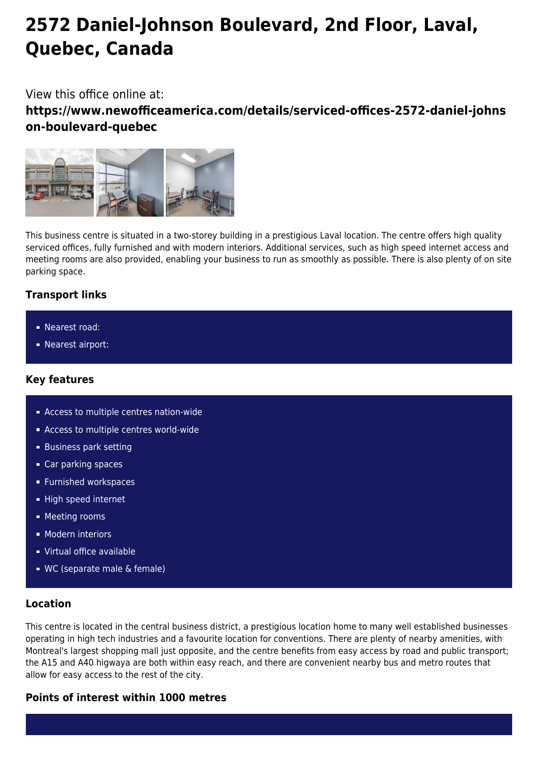# **2572 Daniel-Johnson Boulevard, 2nd Floor, Laval, Quebec, Canada**

## View this office online at:

**https://www.newofficeamerica.com/details/serviced-offices-2572-daniel-johns on-boulevard-quebec**



This business centre is situated in a two-storey building in a prestigious Laval location. The centre offers high quality serviced offices, fully furnished and with modern interiors. Additional services, such as high speed internet access and meeting rooms are also provided, enabling your business to run as smoothly as possible. There is also plenty of on site parking space.

## **Transport links**

- Nearest road:
- **Nearest airport:**

## **Key features**

- **Access to multiple centres nation-wide**
- Access to multiple centres world-wide
- **Business park setting**
- Car parking spaces
- **Furnished workspaces**
- High speed internet
- **Meeting rooms**
- **Modern interiors**
- Virtual office available
- WC (separate male & female)

#### **Location**

This centre is located in the central business district, a prestigious location home to many well established businesses operating in high tech industries and a favourite location for conventions. There are plenty of nearby amenities, with Montreal's largest shopping mall just opposite, and the centre benefits from easy access by road and public transport; the A15 and A40 higwaya are both within easy reach, and there are convenient nearby bus and metro routes that allow for easy access to the rest of the city.

#### **Points of interest within 1000 metres**